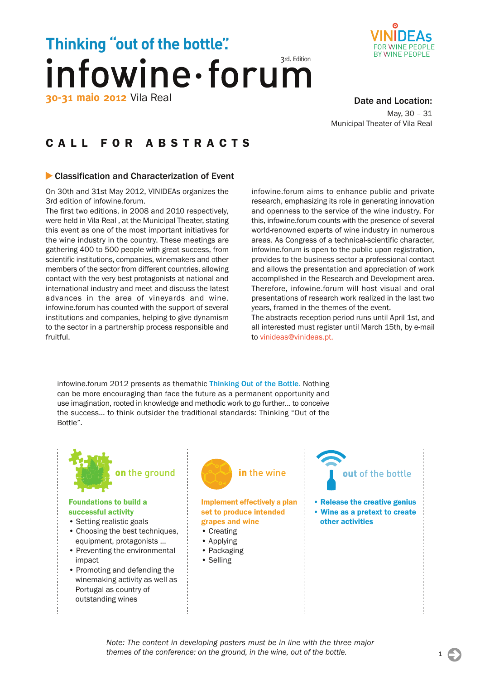# **Thinking "out of the bottle".** infowine·forum **30-31 maio 2012** Vila Real



#### D[ate and Location:](www.vinideas.pt)

May, 30 – 31 Municipal Theater of Vila Real

## [CALL FOR ABSTRACTS](http://www.infowineforum.com/)

#### ▶ Classification and Characterization of Event

On 30th and 31st May 2012, VINIDEAs organizes the 3rd edition of infowine.forum.

The first two editions, in 2008 and 2010 respectively, were held in Vila Real , at the Municipal Theater, stating this event as one of the most important initiatives for the wine industry in the country. These meetings are gathering 400 to 500 people with great success, from scientific institutions, companies, winemakers and other members of the sector from different countries, allowing contact with the very best protagonists at national and international industry and meet and discuss the latest advances in the area of vineyards and wine. infowine.forum has counted with the support of several institutions and companies, helping to give dynamism to the sector in a partnership process responsible and fruitful.

infowine.forum aims to enhance public and private research, emphasizing its role in generating innovation and openness to the service of the wine industry. For this, infowine.forum counts with the presence of several world-renowned experts of wine industry in numerous areas. As Congress of a technical-scientific character, infowine.forum is open to the public upon registration, provides to the business sector a professional contact and allows the presentation and appreciation of work accomplished in the Research and Development area. Therefore, infowine.forum will host visual and oral presentations of research work realized in the last two years, framed in the themes of the event.

The abstracts reception period runs until April 1st, and all interested must register until March 15th, by e-mail to vinideas@vinideas.pt.

infowine.forum 2012 presents as themathic Thinking Out of the Bottle. Nothing can be more encouraging than face the future as a permanent opportunity and use imagination, rooted in knowledge and methodic work to go further… to conceive the success… to think outsider the traditional standards: Thinking "Out of the Bottle".

#### Foundations to build a successful activity

- Setting realistic goals
- Choosing the best techniques, equipment, protagonists ...
- Preventing the environmental impact
- Promoting and defending the winemaking activity as well as Portugal as country of outstanding wines



#### Implement effectively a plan set to produce intended grapes and wine

- Creating
- Applying
- Packaging
- Selling



• Release the creative genius • Wine as a pretext to create other activities

*Note: The content in developing posters must be in line with the three major themes of the conference: on the ground, in the wine, out of the bottle.* 1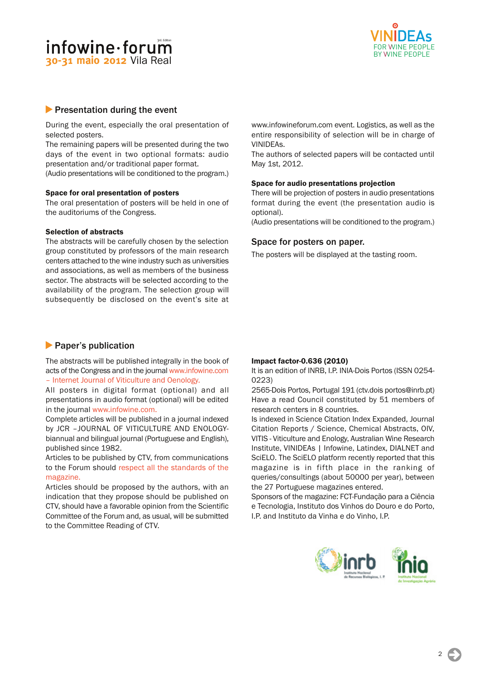### infowine·forum **30-31 maio 2012** Vila Real



#### **Presentation during the event**

During the event, especially the oral presentation of selected posters.

The remaining papers will be presented during the two days of the event in two optional formats: audio presentation and/or traditional paper format.

(Audio presentations will be conditioned to the program.)

#### Space for oral presentation of posters

The oral presentation of posters will be held in one of the auditoriums of the Congress.

#### Selection of abstracts

The abstracts will be carefully chosen by the selection group constituted by professors of the main research centers attached to the wine industry such as universities and associations, as well as members of the business sector. The abstracts will be selected according to the availability of the program. The selection group will subsequently be disclosed on the event's site at

#### **Paper's publication**

The abstracts will be published integrally in the book of acts of the Congress and in the journal www.infowine.com – Internet Journal of Viticulture and Oenology.

All posters in digital format (optional) and all presentations in audio format (optional) will be edited in the journal www.infowine.com.

[Complete articles will be published in a journal indexed](http://www.infowine.com/) by JCR –JOURNAL OF VITICULTURE AND ENOLOGYbiannual and bilingual journal (Portuguese and English), published since 1982.

Articles to be published by CTV, from communications to the Forum should respect all the standards of the magazine.

Articles should be proposed by the authors, with an indication that they propose should be published on CTV, should have a fa[vorable opinion from the Scientific](http://www.inrb.pt/fotos/editor2/inia/divulgacao/normas_para_os_autores__ctv.pdf) [Committee o](http://www.inrb.pt/fotos/editor2/inia/divulgacao/normas_para_os_autores__ctv.pdf)f the Forum and, as usual, will be submitted to the Committee Reading of CTV.

www.infowineforum.com event. Logistics, as well as the entire responsibility of selection will be in charge of VINIDEAs.

The authors of selected papers will be contacted until May 1st, 2012.

#### Space for audio presentations projection

There will be projection of posters in audio presentations format during the event (the presentation audio is optional).

(Audio presentations will be conditioned to the program.)

#### Space for posters on paper.

The posters will be displayed at the tasting room.

#### Impact factor-0.636 (2010)

It is an edition of INRB, I.P. INIA-Dois Portos (ISSN 0254- 0223)

2565-Dois Portos, Portugal 191 (ctv.dois portos@inrb.pt) Have a read Council constituted by 51 members of research centers in 8 countries.

Is indexed in Science Citation Index Expanded, Journal Citation Reports / Science, Chemical Abstracts, OIV, VITIS - Viticulture and Enology, Australian Wine Research Institute, VINIDEAs | Infowine, Latindex, DIALNET and SciELO. The SciELO platform recently reported that this magazine is in fifth place in the ranking of queries/consultings (about 50000 per year), between the 27 Portuguese magazines entered.

Sponsors of the magazine: FCT-Fundação para a Ciência e Tecnologia, Instituto dos Vinhos do Douro e do Porto, I.P. and Instituto da Vinha e do Vinho, I.P.

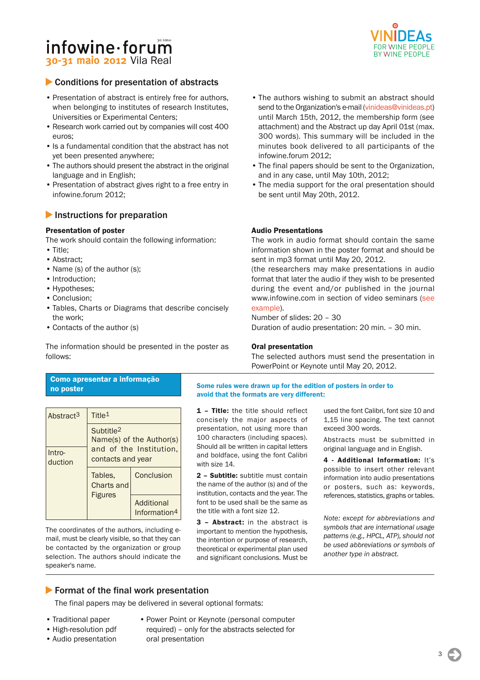### $informi$ nfowine $\cdot$ forum **30-31 maio 2012** Vila Real

### ▶ Conditions for presentation of abstracts

- Presentation of abstract is entirely free for authors, when belonging to institutes of research Institutes, Universities or Experimental Centers;
- Research work carried out by companies will cost 400 euros;
- Is a fundamental condition that the abstract has not yet been presented anywhere;
- The authors should present the abstract in the original language and in English;
- Presentation of abstract gives right to a free entry in infowine.forum 2012;

#### **Instructions for preparation**

#### Presentation of poster

The work should contain the following information:

- Title;
- Abstract;
- Name (s) of the author (s);
- Introduction;
- Hypotheses;
- Conclusion;
- Tables, Charts or Diagrams that describe concisely the work;
- Contacts of the author (s)

The information should be presented in the poster as follows:

#### FOR VVINE PEOPLE BY VVINE PEOPLE

- The authors wishing to submit an abstract should send to the Organization's e-mail (vinideas@vinideas.pt) until March 15th, 2012, the membership form (see attachment) and the Abstract up day April 01st (max. 300 words). This summary will be included in the minutes book delivered to all participants of the infowine.forum 2012;
- The final papers should be sent to the Organization, and in any case, until May 10th, 2012;
- The media support for the oral presentation should be sent until May 20th, 2012.

#### Audio Presentations

The work in audio format should contain the same information shown in the poster format and should be sent in mp3 format until May 20, 2012.

(the researchers may make presentations in audio format that later the audio if they wish to be presented during the event and/or published in the journal www.infowine.com in section of video seminars (see example).

Number of slides: 20 – 30 Duration of audio presentation: 20 min. – 30 min.

#### [Oral prese](http://www.infowine.com/docs/euvinbio-zironi.wmv)ntation

The selected authors must send the presentation in PowerPoint or Keynote until May 20, 2012.

#### Como apresentar a informação no poster

| Abstract <sup>3</sup> | Title <sup>1</sup>                                |                                        |  |
|-----------------------|---------------------------------------------------|----------------------------------------|--|
|                       | Subtitle <sup>2</sup><br>Name(s) of the Author(s) |                                        |  |
| $Intro-$<br>duction   | contacts and year                                 | and of the Institution.                |  |
|                       | Tables.<br><b>Charts and</b><br><b>Figures</b>    | Conclusion                             |  |
|                       |                                                   | Additional<br>Information <sup>4</sup> |  |

The coordinates of the authors, including email, must be clearly visible, so that they can be contacted by the organization or group selection. The authors should indicate the speaker's name.

#### Some rules were drawn up for the edition of posters in order to avoid that the formats are very different:

1 - Title: the title should reflect concisely the major aspects of presentation, not using more than 100 characters (including spaces). Should all be written in capital letters and boldface, using the font Calibri with size 14.

2 – Subtitle: subtitle must contain the name of the author (s) and of the institution, contacts and the year. The font to be used shall be the same as the title with a font size 12.

3 – Abstract: in the abstract is important to mention the hypothesis, the intention or purpose of research, theoretical or experimental plan used and significant conclusions. Must be used the font Calibri, font size 10 and 1,15 line spacing. The text cannot exceed 300 words.

Abstracts must be submitted in original language and in English.

4 - Additional Information: It's possible to insert other relevant information into audio presentations or posters, such as: keywords, references, statistics, graphs or tables.

*Note: except for abbreviations and symbols that are international usage patterns (e.g., HPCL, ATP), should not be used abbreviations or symbols of another type in abstract.*

#### **Format of the final work presentation**

The final papers may be delivered in several optional formats:

- Traditional paper
- High-resolution pdf
- Audio presentation
- Power Point or Keynote (personal computer
- required) only for the abstracts selected for oral presentation